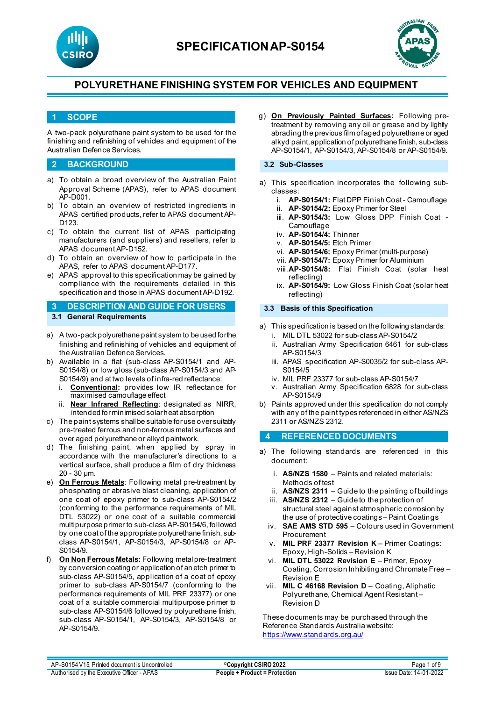



### **1 SCOPE**

A two-pack polyurethane paint system to be used for the finishing and refinishing of vehicles and equipment of the Australian Defence Services.

### **2 BACKGROUND**

- a) To obtain a broad overview of the Australian Paint Approval Scheme (APAS), refer to APAS document AP-D001.
- b) To obtain an overview of restricted ingredients in APAS certified products, refer to APAS document AP-D123.
- c) To obtain the current list of APAS participating manufacturers (and suppliers) and resellers, refer to APAS document AP-D152.
- d) To obtain an overview of how to participate in the APAS, refer to APAS document AP-D177.
- e) APAS approval to this specification may be gained by compliance with the requirements detailed in this specification and those in APAS document AP-D192.

## **3 DESCRIPTION AND GUIDE FOR USERS**

- **3.1 General Requirements**
- a) A two-pack polyurethane paint system to be used for the finishing and refinishing of vehicles and equipment of the Australian Defence Services.
- b) Available in a flat (sub-class AP-S0154/1 and AP-S0154/8) or low gloss (sub-class AP-S0154/3 and AP-S0154/9) and at two levels of infra-red reflectance:
	- i. **Conventional:** provides low IR reflectance for maximised camouflage effect
	- ii. **Near Infrared Reflecting**: designated as NIRR, intended for minimised solar heat absorption
- c) The paint systems shall be suitable for use over suitably pre-treated ferrous and non-ferrous metal surfaces and over aged polyurethane or alkyd paintwork.
- d) The finishing paint, when applied by spray in accordance with the manufacturer's directions to a vertical surface, shall produce a film of dry thickness 20 - 30 µm.
- e) **On Ferrous Metals**: Following metal pre-treatment by phosphating or abrasive blast cleaning, application of one coat of epoxy primer to sub-class AP-S0154/2 (conforming to the performance requirements of MIL DTL 53022) or one coat of a suitable commercial multipurpose primer to sub-class AP-S0154/6, followed by one coat of the appropriate polyurethane finish, subclass AP-S0154/1, AP-S0154/3, AP-S0154/8 or AP-S0154/9.
- f) **On Non Ferrous Metals:** Following metal pre-treatment by conversion coating or application of an etch primer to sub-class AP-S0154/5, application of a coat of epoxy primer to sub-class AP-S0154/7 (conforming to the performance requirements of MIL PRF 23377) or one coat of a suitable commercial multipurpose primer to sub-class AP-S0154/6 followed by polyurethane finish, sub-class AP-S0154/1, AP-S0154/3, AP-S0154/8 or AP-S0154/9.

g) **On Previously Painted Surfaces:** Following pretreatment by removing any oil or grease and by lightly abrading the previous film of aged polyurethane or aged alkyd paint, application of polyurethane finish, sub-class AP-S0154/1, AP-S0154/3, AP-S0154/8 or AP-S0154/9.

### **3.2 Sub-Classes**

- a) This specification incorporates the following subclasses:
	- i. **AP-S0154/1:** Flat DPP Finish Coat Camouflage
	- ii. **AP-S0154/2:** Epoxy Primer for Steel
	- iii. **AP-S0154/3:** Low Gloss DPP Finish Coat Camouflage
	- iv. **AP-S0154/4:** Thinner
	- v. **AP-S0154/5:** Etch Primer
	- vi. **AP-S0154/6:** Epoxy Primer (multi-purpose)
	- vii. **AP-S0154/7:** Epoxy Primer for Aluminium
	- viii.**AP-S0154/8:** Flat Finish Coat (solar heat reflecting)
	- ix. **AP-S0154/9:** Low Gloss Finish Coat (solar heat reflecting)

#### **3.3 Basis of this Specification**

- a) This specification is based on the following standards:
	- i. MIL DTL 53022 for sub-classAP-S0154/2
	- ii. Australian Army Specification 6461 for sub-class AP-S0154/3
	- iii. APAS specification AP-S0035/2 for sub-class AP-S0154/5
	- iv. MIL PRF 23377 for sub-class AP-S0154/7
	- v. Australian Army Specification 6828 for sub-class AP-S0154/9
- b) Paints approved under this specification do not comply with any of the paint types referenced in either AS/NZS 2311 or AS/NZS 2312.

### **4 REFERENCED DOCUMENTS**

- a) The following standards are referenced in this document:
	- i. **AS/NZS 1580** Paints and related materials: Methods of test
	- ii. **AS/NZS 2311**  Guide to the painting of buildings
	- iii. **AS/NZS 2312**  Guide to the protection of structural steel against atmospheric corrosion by the use of protective coatings – Paint Coatings
	- iv. **SAE AMS STD 595** Colours used in Government Procurement
	- v. **MIL PRF 23377 Revision K** Primer Coatings: Epoxy, High-Solids – Revision K
	- vi. **MIL DTL 53022 Revision E** Primer, Epoxy Coating, Corrosion Inhibiting and Chromate Free – Revision E
	- vii. **MIL C 46168 Revision D** Coating, Aliphatic Polyurethane, Chemical Agent Resistant – Revision D

These documents may be purchased through the Reference Standards Australia website: <https://www.standards.org.au/>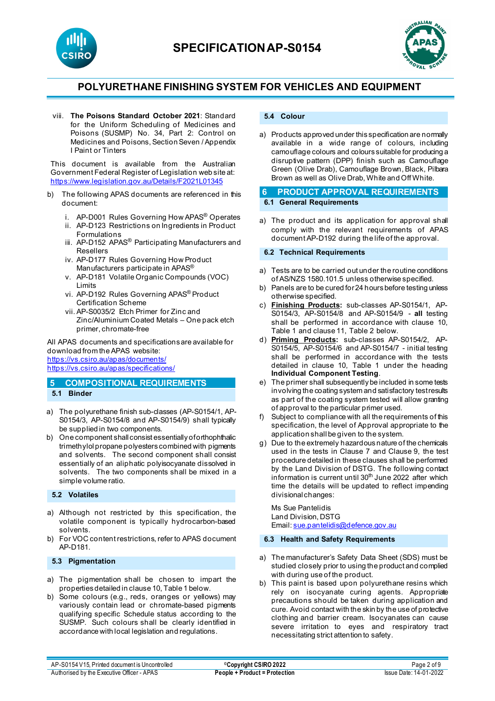





viii. **The Poisons Standard October 2021**: Standard for the Uniform Scheduling of Medicines and Poisons (SUSMP) No. 34, Part 2: Control on Medicines and Poisons, Section Seven / Appendix I Paint or Tinters

This document is available from the Australian Government Federal Register of Legislation web site at: <https://www.legislation.gov.au/Details/F2021L01345>

- b) The following APAS documents are referenced in this document:
	- i. AP-D001 Rules Governing How APAS® Operates
	- ii. AP-D123 Restrictions on Ingredients in Product
	- Formulations iii. AP-D152 APAS<sup>®</sup> Participating Manufacturers and Resellers
	- iv. AP-D177 Rules Governing How Product Manufacturers participate in APAS®
	- v. AP-D181 Volatile Organic Compounds (VOC) Limits
	- vi. AP-D192 Rules Governing APAS® Product Certification Scheme
	- vii. AP-S0035/2 Etch Primer for Zinc and Zinc/Aluminium Coated Metals – One pack etch primer, chromate-free

All APAS documents and specifications are available for download from the APAS website: <https://vs.csiro.au/apas/documents/> <https://vs.csiro.au/apas/specifications/>

## **5 COMPOSITIONAL REQUIREMENTS 5.1 Binder**

- a) The polyurethane finish sub-classes (AP-S0154/1, AP-S0154/3, AP-S0154/8 and AP-S0154/9) shall typically be supplied in two components.
- b) One component shall consist essentially of orthophthalic trimethylol propane polyesters combined with pigments and solvents. The second component shall consist essentially of an aliphatic polyisocyanate dissolved in solvents. The two components shall be mixed in a simple volume ratio.

### **5.2 Volatiles**

- a) Although not restricted by this specification, the volatile component is typically hydrocarbon-based solvents.
- b) For VOC content restrictions, refer to APAS document AP-D181.

### **5.3 Pigmentation**

- a) The pigmentation shall be chosen to impart the properties detailed in clause 10, Table 1 below.
- b) Some colours (e.g., reds, oranges or yellows) may variously contain lead or chromate-based pigments qualifying specific Schedule status according to the SUSMP. Such colours shall be clearly identified in accordance with local legislation and regulations.

## **5.4 Colour**

a) Products approved under this specification are normally available in a wide range of colours, including camouflage colours and colours suitable for producing a disruptive pattern (DPP) finish such as Camouflage Green (Olive Drab), Camouflage Brown, Black, Pilbara Brown as well as Olive Drab, White and Off White.

### **6 PRODUCT APPROVAL REQUIREMENTS 6.1 General Requirements**

a) The product and its application for approval shall comply with the relevant requirements of APAS document AP-D192 during the life of the approval.

#### **6.2 Technical Requirements**

- a) Tests are to be carried out under the routine conditions of AS/NZS 1580.101.5 unless otherwise specified.
- b) Panels are to be cured for 24 hours before testing unless otherwise specified.
- c) **Finishing Products:** sub-classes AP-S0154/1, AP-S0154/3, AP-S0154/8 and AP-S0154/9 - **all** testing shall be performed in accordance with clause 10, Table 1 and clause 11, Table 2 below.
- d) **Priming Products:** sub-classes AP-S0154/2, AP-S0154/5, AP-S0154/6 and AP-S0154/7 - initial testing shall be performed in accordance with the tests detailed in clause 10, Table 1 under the heading **Individual Component Testing**.
- e) The primer shall subsequently be included in some tests involving the coating system and satisfactory test results as part of the coating system tested will allow granting of approval to the particular primer used.
- f) Subject to compliance with all the requirements of this specification, the level of Approval appropriate to the application shall be given to the system.
- g) Due to the extremely hazardous nature of the chemicals used in the tests in Clause 7 and Clause 9, the test procedure detailed in these clauses shall be performed by the Land Division of DSTG. The following contact information is current until  $30<sup>th</sup>$  June 2022 after which time the details will be updated to reflect impending divisional changes:

Ms Sue Pantelidis Land Division, DSTG Email[: sue.pantelidis@defence.gov.au](mailto:sue.pantelidis@defence.gov.au)

**6.3 Health and Safety Requirements**

- a) The manufacturer's Safety Data Sheet (SDS) must be studied closely prior to using the product and complied with during use of the product.
- b) This paint is based upon polyurethane resins which rely on isocyanate curing agents. Appropriate precautions should be taken during application and cure. Avoid contact with the skin by the use of protective clothing and barrier cream. Isocyanates can cause severe irritation to eyes and respiratory tract necessitating strict attention to safety.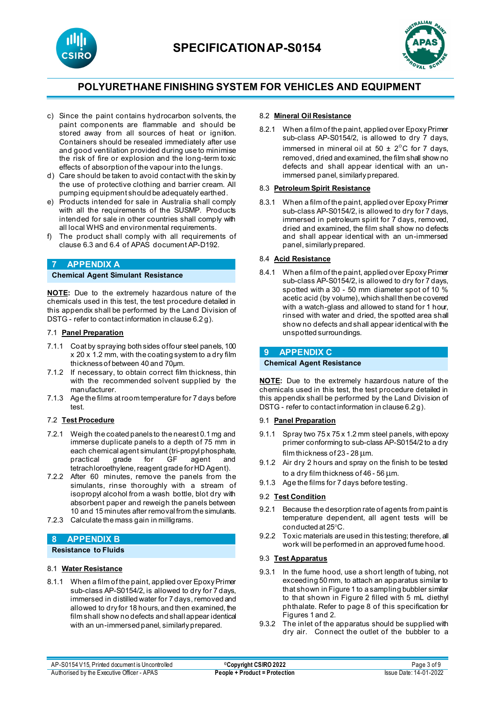





- c) Since the paint contains hydrocarbon solvents, the paint components are flammable and should be stored away from all sources of heat or ignition. Containers should be resealed immediately after use and good ventilation provided during use to minimise the risk of fire or explosion and the long-term toxic effects of absorption of the vapour into the lungs.
- d) Care should be taken to avoid contact with the skin by the use of protective clothing and barrier cream. All pumping equipment should be adequately earthed.
- e) Products intended for sale in Australia shall comply with all the requirements of the SUSMP. Products intended for sale in other countries shall comply with all local WHS and environmental requirements.
- f) The product shall comply with all requirements of clause 6.3 and 6.4 of APAS document AP-D192.

### **7 APPENDIX A**

### **Chemical Agent Simulant Resistance**

**NOTE:** Due to the extremely hazardous nature of the chemicals used in this test, the test procedure detailed in this appendix shall be performed by the Land Division of DSTG - refer to contact information in clause 6.2 g).

#### 7.1 **Panel Preparation**

- 7.1.1 Coat by spraying both sides of four steel panels, 100 x 20 x 1.2 mm, with the coating system to a dry film thickness of between 40 and 70μm.
- 7.1.2 If necessary, to obtain correct film thickness, thin with the recommended solvent supplied by the manufacturer.
- 7.1.3 Age the films at room temperature for 7 days before test.

#### 7.2 **Test Procedure**

- 7.2.1 Weigh the coated panels to the nearest 0.1 mg and immerse duplicate panels to a depth of 75 mm in each chemical agent simulant (tri-propyl phosphate, practical grade for GF agent and tetrachloroethylene, reagent grade for HD Agent).
- 7.2.2 After 60 minutes, remove the panels from the simulants, rinse thoroughly with a stream of isopropyl alcohol from a wash bottle, blot dry with absorbent paper and reweigh the panels between 10 and 15 minutes after removal from the simulants.
- 7.2.3 Calculate the mass gain in milligrams.

## **8 APPENDIX B**

**Resistance to Fluids**

### 8.1 **Water Resistance**

8.1.1 When a film of the paint, applied over Epoxy Primer sub-class AP-S0154/2, is allowed to dry for 7 days, immersed in distilled water for 7 days, removed and allowed to dry for 18 hours, and then examined, the film shall show no defects and shall appear identical with an un-immersed panel, similarly prepared.

#### 8.2 **Mineral Oil Resistance**

8.2.1 When a film of the paint, applied over Epoxy Primer sub-class AP-S0154/2, is allowed to dry 7 days, immersed in mineral oil at  $50 \pm 2^{\circ}$ C for 7 days, removed, dried and examined, the film shall show no defects and shall appear identical with an unimmersed panel, similarly prepared.

### 8.3 **Petroleum Spirit Resistance**

8.3.1 When a film of the paint, applied over Epoxy Primer sub-class AP-S0154/2, is allowed to dry for 7 days, immersed in petroleum spirit for 7 days, removed, dried and examined, the film shall show no defects and shall appear identical with an un-immersed panel, similarly prepared.

#### 8.4 **Acid Resistance**

8.4.1 When a film of the paint, applied over Epoxy Primer sub-class AP-S0154/2, is allowed to dry for 7 days, spotted with a 30 - 50 mm diameter spot of 10 % acetic acid (by volume), which shall then be covered with a watch-glass and allowed to stand for 1 hour, rinsed with water and dried, the spotted area shall show no defects and shall appear identical with the unspotted surroundings.

#### **9 APPENDIX C**

#### **Chemical Agent Resistance**

**NOTE:** Due to the extremely hazardous nature of the chemicals used in this test, the test procedure detailed in this appendix shall be performed by the Land Division of DSTG - refer to contact information in clause 6.2 g).

#### 9.1 **Panel Preparation**

- 9.1.1 Spray two 75 x 75 x 1.2 mm steel panels, with epoxy primer conforming to sub-class AP-S0154/2 to a dry film thickness of 23 - 28 um.
- 9.1.2 Air dry 2 hours and spray on the finish to be tested to a dry film thickness of 46 - 56 µm.
- 9.1.3 Age the films for 7 days before testing.

#### 9.2 **Test Condition**

- 9.2.1 Because the desorption rate of agents from paint is temperature dependent, all agent tests will be conducted at 25°C.
- 9.2.2 Toxic materials are used in this testing; therefore, all work will be performed in an approved fume hood.

#### 9.3 **Test Apparatus**

- 9.3.1 In the fume hood, use a short length of tubing, not exceeding 50 mm, to attach an apparatus similar to that shown in Figure 1 to a sampling bubbler similar to that shown in Figure 2 filled with 5 mL diethyl phthalate. Refer to page 8 of this specification for Figures 1 and 2.
- 9.3.2 The inlet of the apparatus should be supplied with dry air. Connect the outlet of the bubbler to a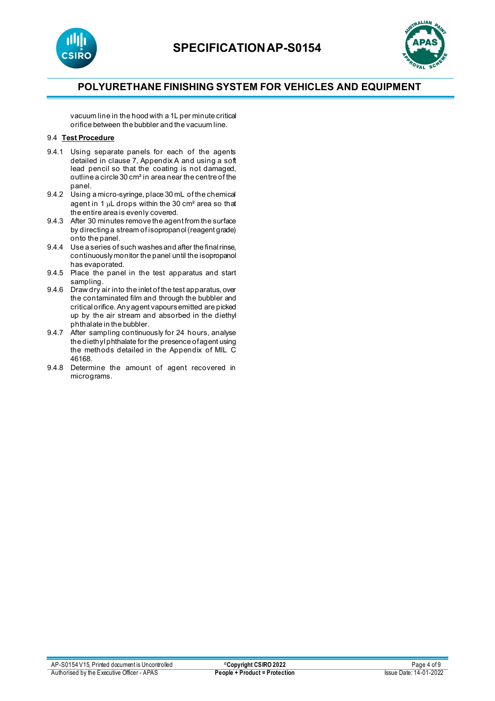



vacuum line in the hood with a 1L per minute critical orifice between the bubbler and the vacuum line.

## 9.4 **Test Procedure**

- 9.4.1 Using separate panels for each of the agents detailed in clause 7, Appendix A and using a soft lead pencil so that the coating is not damaged, outline a circle 30 cm² in area near the centre of the panel.
- 9.4.2 Using a micro-syringe, place 30 mL of the chemical agent in 1 µL drops within the 30 cm² area so that the entire area is evenly covered.
- 9.4.3 After 30 minutes remove the agent from the surface by directing a stream of isopropanol (reagent grade) onto the panel.
- 9.4.4 Use a series of such washes and after the final rinse, continuously monitor the panel until the isopropanol has evaporated.
- 9.4.5 Place the panel in the test apparatus and start sampling.
- 9.4.6 Draw dry air into the inlet of the test apparatus, over the contaminated film and through the bubbler and critical orifice. Any agent vapours emitted are picked up by the air stream and absorbed in the diethyl phthalate in the bubbler.
- 9.4.7 After sampling continuously for 24 hours, analyse the diethyl phthalate for the presence of agent using the methods detailed in the Appendix of MIL C 46168.
- 9.4.8 Determine the amount of agent recovered in micrograms.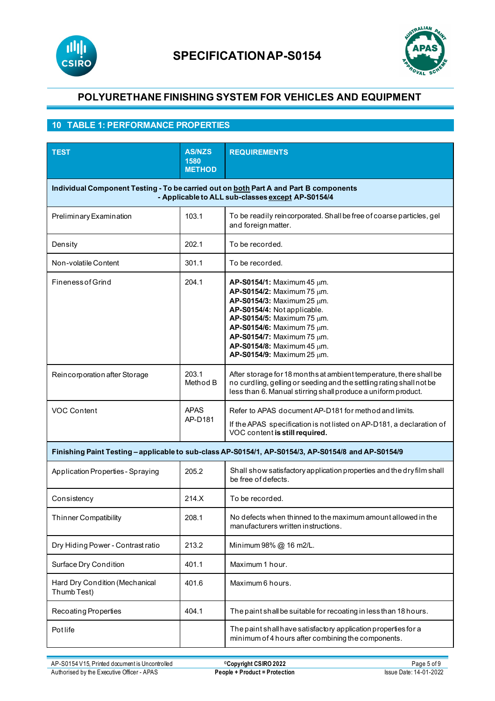



## **10 TABLE 1: PERFORMANCE PROPERTIES**

| <b>TEST</b>                                                                                                                                | <b>AS/NZS</b><br>1580<br><b>METHOD</b> | <b>REQUIREMENTS</b>                                                                                                                                                                                                                                                                            |
|--------------------------------------------------------------------------------------------------------------------------------------------|----------------------------------------|------------------------------------------------------------------------------------------------------------------------------------------------------------------------------------------------------------------------------------------------------------------------------------------------|
| Individual Component Testing - To be carried out on both Part A and Part B components<br>- Applicable to ALL sub-classes except AP-S0154/4 |                                        |                                                                                                                                                                                                                                                                                                |
| Preliminary Examination                                                                                                                    | 103.1                                  | To be readily reincorporated. Shall be free of coarse particles, gel<br>and foreign matter.                                                                                                                                                                                                    |
| Density                                                                                                                                    | 202.1                                  | To be recorded.                                                                                                                                                                                                                                                                                |
| Non-volatile Content                                                                                                                       | 301.1                                  | To be recorded.                                                                                                                                                                                                                                                                                |
| <b>Fineness of Grind</b>                                                                                                                   | 204.1                                  | <b>AP-S0154/1:</b> Maximum 45 $\mu$ m.<br>AP-S0154/2: Maximum 75 µm.<br>AP-S0154/3: Maximum 25 um.<br>AP-S0154/4: Not applicable.<br>AP-S0154/5: Maximum 75 um.<br>AP-S0154/6: Maximum 75 µm.<br>AP-S0154/7: Maximum 75 µm.<br>AP-S0154/8: Maximum 45 um.<br><b>AP-S0154/9:</b> Maximum 25 μm. |
| Reincorporation after Storage                                                                                                              | 203.1<br>Method B                      | After storage for 18 months at ambient temperature, there shall be<br>no curdling, gelling or seeding and the settling rating shall not be<br>less than 6. Manual stirring shall produce a uniform product.                                                                                    |
| VOC Content                                                                                                                                | <b>APAS</b><br>AP-D181                 | Refer to APAS document AP-D181 for method and limits.<br>If the APAS specification is not listed on AP-D181, a declaration of<br>VOC content is still required.                                                                                                                                |
|                                                                                                                                            |                                        | Finishing Paint Testing - applicable to sub-class AP-S0154/1, AP-S0154/3, AP-S0154/8 and AP-S0154/9                                                                                                                                                                                            |
| Application Properties - Spraying                                                                                                          | 205.2                                  | Shall show satisfactory application properties and the dry film shall<br>be free of defects.                                                                                                                                                                                                   |
| Consistency                                                                                                                                | 214.X                                  | To be recorded.                                                                                                                                                                                                                                                                                |
| <b>Thinner Compatibility</b>                                                                                                               | 208.1                                  | No defects when thinned to the maximum amount allowed in the<br>manufacturers written instructions.                                                                                                                                                                                            |
| Dry Hiding Power - Contrast ratio                                                                                                          | 213.2                                  | Minimum 98% @ 16 m2/L.                                                                                                                                                                                                                                                                         |
| Surface Dry Condition                                                                                                                      | 401.1                                  | Maximum 1 hour.                                                                                                                                                                                                                                                                                |
| Hard Dry Condition (Mechanical<br>Thumb Test)                                                                                              | 401.6                                  | Maximum 6 hours.                                                                                                                                                                                                                                                                               |
| Recoating Properties                                                                                                                       | 404.1                                  | The paint shall be suitable for recoating in less than 18 hours.                                                                                                                                                                                                                               |
| Potlife                                                                                                                                    |                                        | The paint shall have satisfactory application properties for a<br>minimum of 4 hours after combining the components.                                                                                                                                                                           |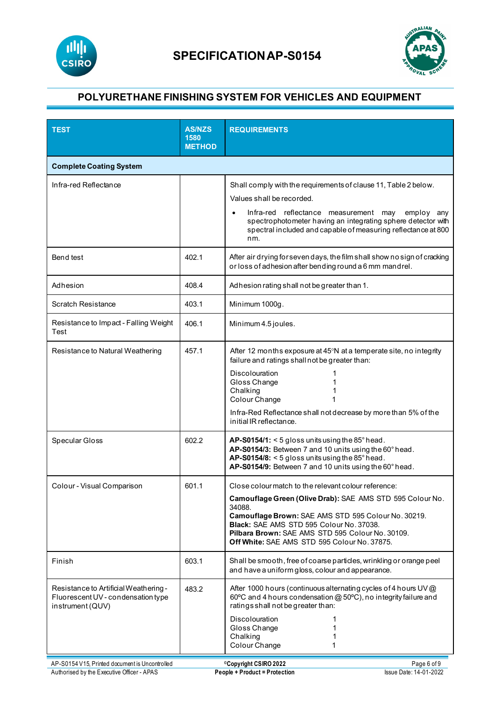



| <b>TEST</b>                                                                                     | <b>AS/NZS</b><br>1580<br><b>METHOD</b> | <b>REQUIREMENTS</b>                                                                                                                                                                                                                                                                                                                |
|-------------------------------------------------------------------------------------------------|----------------------------------------|------------------------------------------------------------------------------------------------------------------------------------------------------------------------------------------------------------------------------------------------------------------------------------------------------------------------------------|
| <b>Complete Coating System</b>                                                                  |                                        |                                                                                                                                                                                                                                                                                                                                    |
| Infra-red Reflectance                                                                           |                                        | Shall comply with the requirements of clause 11, Table 2 below.<br>Values shall be recorded.<br>Infra-red reflectance measurement may<br>employ any<br>$\bullet$<br>spectrophotometer having an integrating sphere detector with<br>spectral included and capable of measuring reflectance at 800<br>nm.                           |
| Bend test                                                                                       | 402.1                                  | After air drying for seven days, the film shall show no sign of cracking<br>or loss of adhesion after bending round a 6 mm mandrel.                                                                                                                                                                                                |
| Adhesion                                                                                        | 408.4                                  | Adhesion rating shall not be greater than 1.                                                                                                                                                                                                                                                                                       |
| <b>Scratch Resistance</b>                                                                       | 403.1                                  | Minimum 1000g.                                                                                                                                                                                                                                                                                                                     |
| Resistance to Impact - Falling Weight<br>Test                                                   | 406.1                                  | Minimum 4.5 joules.                                                                                                                                                                                                                                                                                                                |
| Resistance to Natural Weathering                                                                | 457.1                                  | After 12 months exposure at 45°N at a temperate site, no integrity<br>failure and ratings shall not be greater than:<br><b>Discolouration</b><br>Gloss Change<br>Chalking<br>Colour Change<br>Infra-Red Reflectance shall not decrease by more than 5% of the<br>initial IR reflectance.                                           |
| Specular Gloss                                                                                  | 602.2                                  | AP-S0154/1: $<$ 5 gloss units using the 85 $^{\circ}$ head.<br>AP-S0154/3: Between 7 and 10 units using the 60° head.<br>AP-S0154/8: $<$ 5 gloss units using the 85 $^{\circ}$ head.<br>AP-S0154/9: Between 7 and 10 units using the 60° head.                                                                                     |
| Colour - Visual Comparison                                                                      | 601.1                                  | Close colour match to the relevant colour reference:<br>Camouflage Green (Olive Drab): SAE AMS STD 595 Colour No.<br>34088.<br>Camouflage Brown: SAE AMS STD 595 Colour No. 30219.<br>Black: SAE AMS STD 595 Colour No. 37038.<br>Pilbara Brown: SAE AMS STD 595 Colour No. 30109.<br>Off White: SAE AMS STD 595 Colour No. 37875. |
| Finish                                                                                          | 603.1                                  | Shall be smooth, free of coarse particles, wrinkling or orange peel<br>and have a uniform gloss, colour and appearance.                                                                                                                                                                                                            |
| Resistance to Artificial Weathering -<br>Fluorescent UV - condensation type<br>instrument (QUV) | 483.2                                  | After 1000 hours (continuous alternating cycles of 4 hours UV @<br>60°C and 4 hours condensation @ 50°C), no integrity failure and<br>ratings shall not be greater than:<br>Discolouration<br>Gloss Change<br>Chalking<br>Colour Change<br>1                                                                                       |
| AP-S0154 V15, Printed document is Uncontrolled<br>Authorised by the Executive Officer - APAS    |                                        | <sup>©</sup> Copyright CSIRO 2022<br>Page 6 of 9<br><b>People + Product = Protection</b><br>Issue Date: 14-01-2022                                                                                                                                                                                                                 |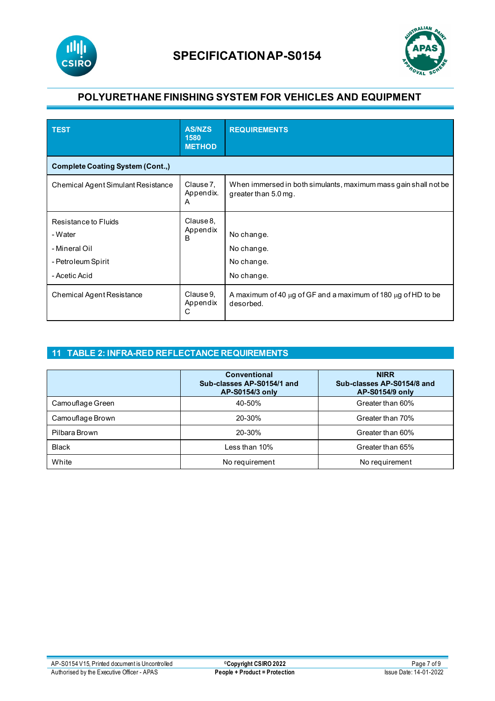



| <b>TEST</b>                                                                             | <b>AS/NZS</b><br>1580<br><b>METHOD</b> | <b>REQUIREMENTS</b>                                                                     |
|-----------------------------------------------------------------------------------------|----------------------------------------|-----------------------------------------------------------------------------------------|
| <b>Complete Coating System (Cont.,)</b>                                                 |                                        |                                                                                         |
| Chemical Agent Simulant Resistance                                                      | Clause 7,<br>Appendix.<br>A            | When immersed in both simulants, maximum mass gain shall not be<br>greater than 5.0 mg. |
| Resistance to Fluids<br>- Water<br>- Mineral Oil<br>- Petroleum Spirit<br>- Acetic Acid | Clause 8.<br>Appendix<br>B             | No change.<br>No change.<br>No change.<br>No change.                                    |
| <b>Chemical Agent Resistance</b>                                                        | Clause 9,<br>Appendix<br>С             | A maximum of 40 $\mu$ g of GF and a maximum of 180 $\mu$ g of HD to be<br>desorbed.     |

## **11 TABLE 2: INFRA-RED REFLECTANCE REQUIREMENTS**

|                  | <b>Conventional</b><br>Sub-classes AP-S0154/1 and<br>AP-S0154/3 only | <b>NIRR</b><br>Sub-classes AP-S0154/8 and<br>AP-S0154/9 only |
|------------------|----------------------------------------------------------------------|--------------------------------------------------------------|
| Camouflage Green | 40-50%                                                               | Greater than 60%                                             |
| Camouflage Brown | 20-30%                                                               | Greater than 70%                                             |
| Pilbara Brown    | 20-30%                                                               | Greater than 60%                                             |
| <b>Black</b>     | Less than $10\%$                                                     | Greater than 65%                                             |
| White            | No requirement                                                       | No requirement                                               |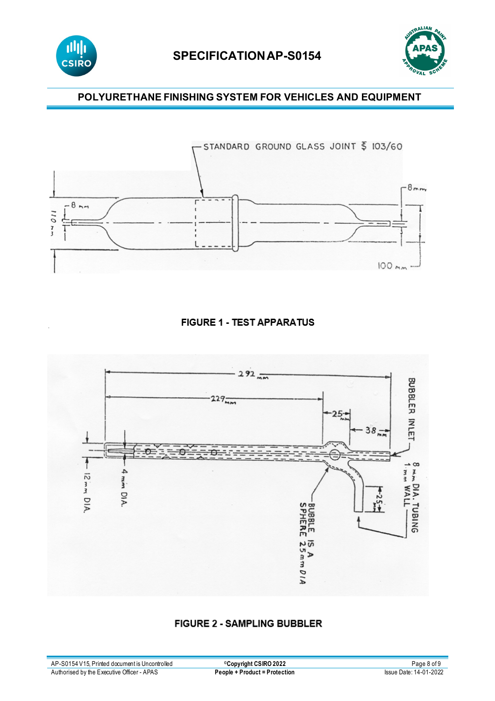

# **SPECIFICATIONAP-S0154**



## **POLYURETHANE FINISHING SYSTEM FOR VEHICLES AND EQUIPMENT**



## **FIGURE 1 - TEST APPARATUS**



## **FIGURE 2 - SAMPLING BUBBLER**

| AP-S0154 V15, Printed document is Uncontrolled | <b>©Copyright CSIRO 2022</b>  | Page 8 of 9            |
|------------------------------------------------|-------------------------------|------------------------|
| Authorised by the Executive Officer - APAS     | People + Product = Protection | Issue Date: 14-01-2022 |